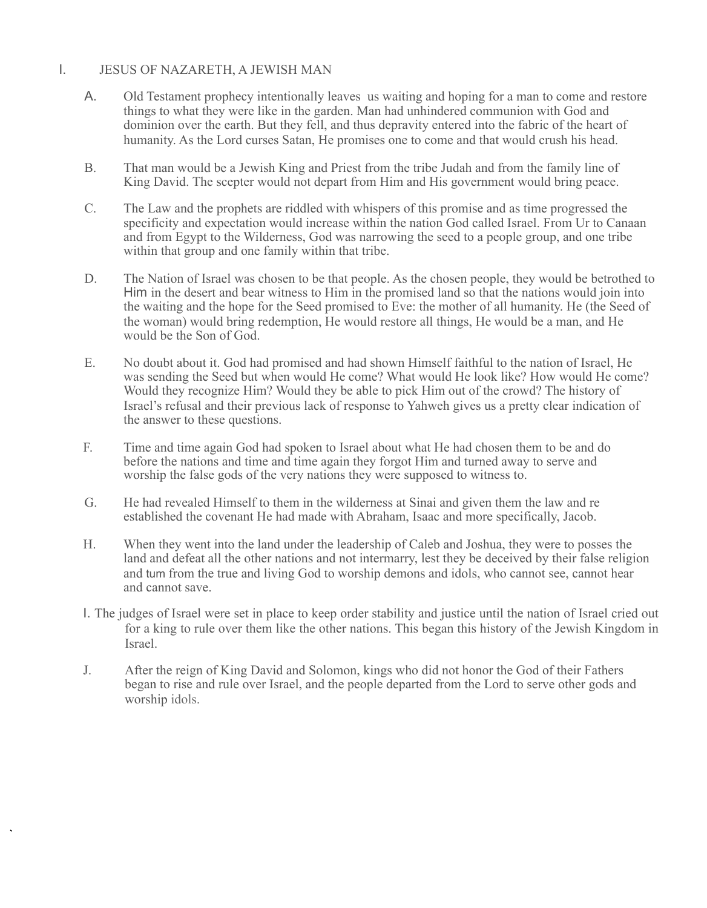#### I. JESUS OF NAZARETH, A JEWISH MAN

- A. Old Testament prophecy intentionally leaves us waiting and hoping for a man to come and restore things to what they were like in the garden. Man had unhindered communion with God and dominion over the earth. But they fell, and thus depravity entered into the fabric of the heart of humanity. As the Lord curses Satan, He promises one to come and that would crush his head.
- B. That man would be a Jewish King and Priest from the tribe Judah and from the family line of King David. The scepter would not depart from Him and His government would bring peace.
- C. The Law and the prophets are riddled with whispers of this promise and as time progressed the specificity and expectation would increase within the nation God called Israel. From Ur to Canaan and from Egypt to the Wilderness, God was narrowing the seed to a people group, and one tribe within that group and one family within that tribe.
- D. The Nation of Israel was chosen to be that people. As the chosen people, they would be betrothed to Him in the desert and bear witness to Him in the promised land so that the nations would join into the waiting and the hope for the Seed promised to Eve: the mother of all humanity. He (the Seed of the woman) would bring redemption, He would restore all things, He would be a man, and He would be the Son of God.
- E. No doubt about it. God had promised and had shown Himself faithful to the nation of Israel, He was sending the Seed but when would He come? What would He look like? How would He come? Would they recognize Him? Would they be able to pick Him out of the crowd? The history of Israel's refusal and their previous lack of response to Yahweh gives us a pretty clear indication of the answer to these questions.
- F. Time and time again God had spoken to Israel about what He had chosen them to be and do before the nations and time and time again they forgot Him and turned away to serve and worship the false gods of the very nations they were supposed to witness to.
- G. He had revealed Himself to them in the wilderness at Sinai and given them the law and re established the covenant He had made with Abraham, Isaac and more specifically, Jacob.
- H. When they went into the land under the leadership of Caleb and Joshua, they were to posses the land and defeat all the other nations and not intermarry, lest they be deceived by their false religion and tum from the true and living God to worship demons and idols, who cannot see, cannot hear and cannot save.
- I. The judges of Israel were set in place to keep order stability and justice until the nation of Israel cried out for a king to rule over them like the other nations. This began this history of the Jewish Kingdom in Israel.
- J. After the reign of King David and Solomon, kings who did not honor the God of their Fathers began to rise and rule over Israel, and the people departed from the Lord to serve other gods and worship idols.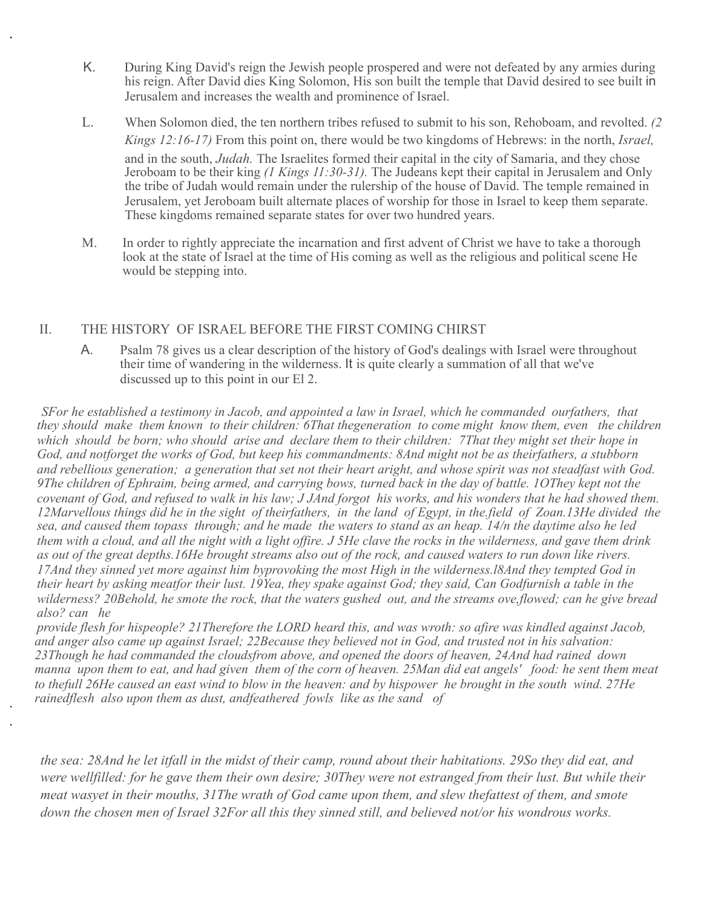- K. During King David's reign the Jewish people prospered and were not defeated by any armies during his reign. After David dies King Solomon, His son built the temple that David desired to see built in Jerusalem and increases the wealth and prominence of Israel.
- L. When Solomon died, the ten northern tribes refused to submit to his son, Rehoboam, and revolted. *(2 Kings 12:16-17)* From this point on, there would be two kingdoms of Hebrews: in the north, *Israel,*  and in the south, *Judah.* The Israelites formed their capital in the city of Samaria, and they chose Jeroboam to be their king *(1 Kings 11:30-31).* The Judeans kept their capital in Jerusalem and Only the tribe of Judah would remain under the rulership of the house of David. The temple remained in Jerusalem, yet Jeroboam built alternate places of worship for those in Israel to keep them separate. These kingdoms remained separate states for over two hundred years.
- M. In order to rightly appreciate the incarnation and first advent of Christ we have to take a thorough look at the state of Israel at the time of His coming as well as the religious and political scene He would be stepping into.

# II. THE HISTORY OF ISRAEL BEFORE THE FIRST COMING CHIRST

A. Psalm 78 gives us a clear description of the history of God's dealings with Israel were throughout their time of wandering in the wilderness. It is quite clearly a summation of all that we've discussed up to this point in our El 2.

*SFor he established a testimony in Jacob, and appointed a law in Israel, which he commanded ourfathers, that they should make them known to their children: 6That thegeneration to come might know them, even the children which should be born; who should arise and declare them to their children: 7That they might set their hope in God, and notforget the works of God, but keep his commandments: 8And might not be as theirfathers, a stubborn and rebellious generation; a generation that set not their heart aright, and whose spirit was not steadfast with God.*  9The children of Ephraim, being armed, and carrying bows, turned back in the day of battle. 1OThey kept not the *covenant of God, and refused to walk in his law; J JAnd forgot his works, and his wonders that he had showed them. 12Marvellous things did he in the sight of theirfathers, in the land of Egypt, in the.field of Zoan.13He divided the sea, and caused them topass through; and he made the waters to stand as an heap. 14/n the daytime also he led them with a cloud, and all the night with a light offire. J 5He clave the rocks in the wilderness, and gave them drink as out of the great depths.16He brought streams also out of the rock, and caused waters to run down like rivers. 17And they sinned yet more against him byprovoking the most High in the wilderness.l8And they tempted God in their heart by asking meatfor their lust. 19Yea, they spake against God; they said, Can Godfurnish a table in the wilderness? 20Behold, he smote the rock, that the waters gushed out, and the streams ove,flowed; can he give bread also? can he*

*provide flesh for hispeople? 21Therefore the LORD heard this, and was wroth: so afire was kindled against Jacob, and anger also came up against Israel; 22Because they believed not in God, and trusted not in his salvation: 23Though he had commanded the cloudsfrom above, and opened the doors of heaven, 24And had rained down manna upon them to eat, and had given them of the corn of heaven. 25Man did eat angels' food: he sent them meat to thefull 26He caused an east wind to blow in the heaven: and by hispower he brought in the south wind. 27He rainedflesh also upon them as dust, andfeathered fowls like as the sand of*

*the sea: 28And he let itfall in the midst of their camp, round about their habitations. 29So they did eat, and were wellfilled: for he gave them their own desire; 30They were not estranged from their lust. But while their meat wasyet in their mouths, 31The wrath of God came upon them, and slew thefattest of them, and smote down the chosen men of Israel 32For all this they sinned still, and believed not/or his wondrous works.*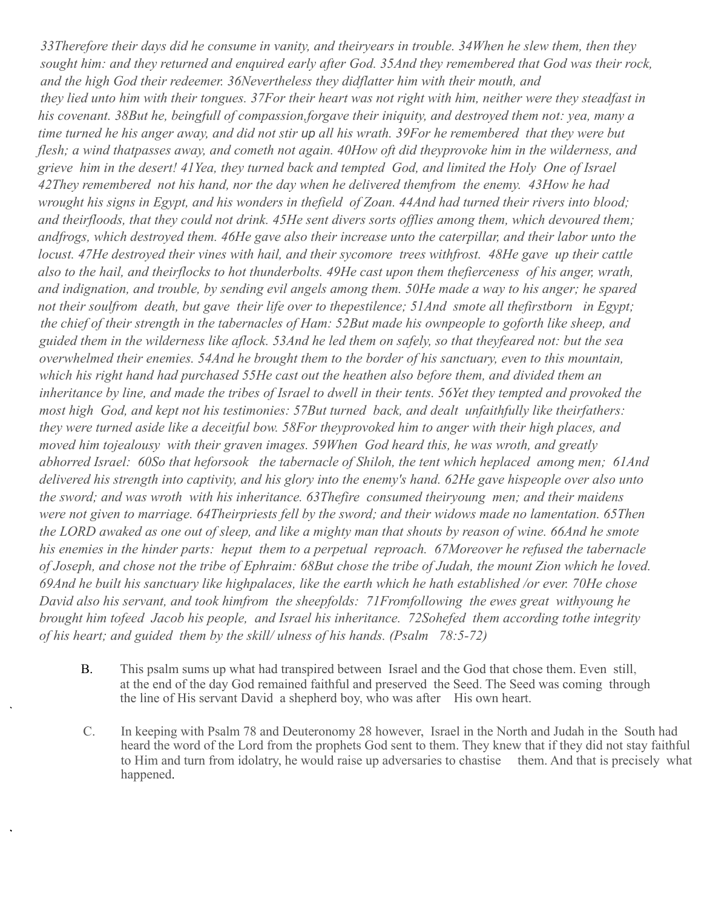*33Therefore their days did he consume in vanity, and theiryears in trouble. 34When he slew them, then they sought him: and they returned and enquired early after God. 35And they remembered that God was their rock, and the high God their redeemer. 36Nevertheless they didflatter him with their mouth, and they lied unto him with their tongues. 37For their heart was not right with him, neither were they steadfast in his covenant. 38But he, beingfull of compassion,forgave their iniquity, and destroyed them not: yea, many a time turned he his anger away, and did not stir up all his wrath. 39For he remembered that they were but flesh; a wind thatpasses away, and cometh not again. 40How oft did theyprovoke him in the wilderness, and grieve him in the desert! 41Yea, they turned back and tempted God, and limited the Holy One of Israel 42They remembered not his hand, nor the day when he delivered themfrom the enemy. 43How he had wrought his signs in Egypt, and his wonders in thefield of Zoan. 44And had turned their rivers into blood; and theirfloods, that they could not drink. 45He sent divers sorts offlies among them, which devoured them; andfrogs, which destroyed them. 46He gave also their increase unto the caterpillar, and their labor unto the locust. 47He destroyed their vines with hail, and their sycomore trees withfrost. 48He gave up their cattle also to the hail, and theirflocks to hot thunderbolts. 49He cast upon them thefierceness of his anger, wrath, and indignation, and trouble, by sending evil angels among them. 50He made a way to his anger; he spared not their soulfrom death, but gave their life over to thepestilence; 51And smote all thefirstborn in Egypt; the chief of their strength in the tabernacles of Ham: 52But made his ownpeople to goforth like sheep, and guided them in the wilderness like aflock. 53And he led them on safely, so that theyfeared not: but the sea overwhelmed their enemies. 54And he brought them to the border of his sanctuary, even to this mountain, which his right hand had purchased 55He cast out the heathen also before them, and divided them an inheritance by line, and made the tribes of Israel to dwell in their tents. 56Yet they tempted and provoked the most high God, and kept not his testimonies: 57But turned back, and dealt unfaithfully like theirfathers: they were turned aside like a deceitful bow. 58For theyprovoked him to anger with their high places, and moved him tojealousy with their graven images. 59When God heard this, he was wroth, and greatly abhorred Israel: 60So that heforsook the tabernacle of Shiloh, the tent which heplaced among men; 61And delivered his strength into captivity, and his glory into the enemy's hand. 62He gave hispeople over also unto the sword; and was wroth with his inheritance. 63Thefire consumed theiryoung men; and their maidens were not given to marriage. 64Theirpriests fell by the sword; and their widows made no lamentation. 65Then the LORD awaked as one out of sleep, and like a mighty man that shouts by reason of wine. 66And he smote his enemies in the hinder parts: heput them to a perpetual reproach. 67Moreover he refused the tabernacle of Joseph, and chose not the tribe of Ephraim: 68But chose the tribe of Judah, the mount Zion which he loved. 69And he built his sanctuary like highpalaces, like the earth which he hath established /or ever. 70He chose David also his servant, and took himfrom the sheepfolds: 71Fromfollowing the ewes great withyoung he brought him tofeed Jacob his people, and Israel his inheritance. 72Sohefed them according tothe integrity of his heart; and guided them by the skill/ ulness of his hands. (Psalm 78:5-72)*

- B. This psalm sums up what had transpired between Israel and the God that chose them. Even still, at the end of the day God remained faithful and preserved the Seed. The Seed was coming through the line of His servant David a shepherd boy, who was after His own heart.
- C. In keeping with Psalm 78 and Deuteronomy 28 however, Israel in the North and Judah in the South had heard the word of the Lord from the prophets God sent to them. They knew that if they did not stay faithful to Him and turn from idolatry, he would raise up adversaries to chastise them. And that is precisely what happened.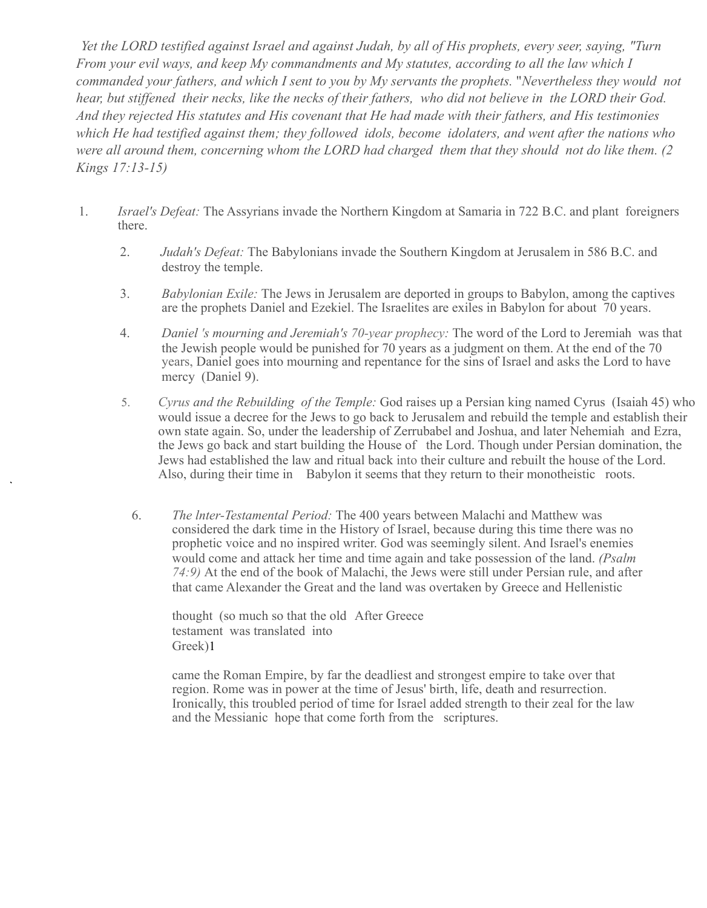*Yet the LORD testified against Israel and against Judah, by all of His prophets, every seer, saying, "Turn From your evil ways, and keep My commandments and My statutes, according to all the law which I commanded your fathers, and which I sent to you by My servants the prophets.* "*Nevertheless they would not hear, but stiffened their necks, like the necks of their fathers, who did not believe in the LORD their God. And they rejected His statutes and His covenant that He had made with their fathers, and His testimonies which He had testified against them; they followed idols, become idolaters, and went after the nations who were all around them, concerning whom the LORD had charged them that they should not do like them. (2 Kings 17:13-15)*

- 1. *Israel's Defeat:* The Assyrians invade the Northern Kingdom at Samaria in 722 B.C. and plant foreigners there.
	- 2. *Judah's Defeat:* The Babylonians invade the Southern Kingdom at Jerusalem in 586 B.C. and destroy the temple.
	- 3. *Babylonian Exile:* The Jews in Jerusalem are deported in groups to Babylon, among the captives are the prophets Daniel and Ezekiel. The Israelites are exiles in Babylon for about 70 years.
	- 4. *Daniel 's mourning and Jeremiah's 70-year prophecy:* The word of the Lord to Jeremiah was that the Jewish people would be punished for 70 years as a judgment on them. At the end of the 70 years, Daniel goes into mourning and repentance for the sins of Israel and asks the Lord to have mercy (Daniel 9).
	- 5. *Cyrus and the Rebuilding of the Temple:* God raises up a Persian king named Cyrus (Isaiah 45) who would issue a decree for the Jews to go back to Jerusalem and rebuild the temple and establish their own state again. So, under the leadership of Zerrubabel and Joshua, and later Nehemiah and Ezra, the Jews go back and start building the House of the Lord. Though under Persian domination, the Jews had established the law and ritual back into their culture and rebuilt the house of the Lord. Also, during their time in Babylon it seems that they return to their monotheistic roots.
		- 6. *The lnter-Testamental Period:* The 400 years between Malachi and Matthew was considered the dark time in the History of Israel, because during this time there was no prophetic voice and no inspired writer. God was seemingly silent. And Israel's enemies would come and attack her time and time again and take possession of the land. *(Psalm 74:9)* At the end of the book of Malachi, the Jews were still under Persian rule, and after that came Alexander the Great and the land was overtaken by Greece and Hellenistic

thought (so much so that the old After Greece testament was translated into Greek)1

came the Roman Empire, by far the deadliest and strongest empire to take over that region. Rome was in power at the time of Jesus' birth, life, death and resurrection. Ironically, this troubled period of time for Israel added strength to their zeal for the law and the Messianic hope that come forth from the scriptures.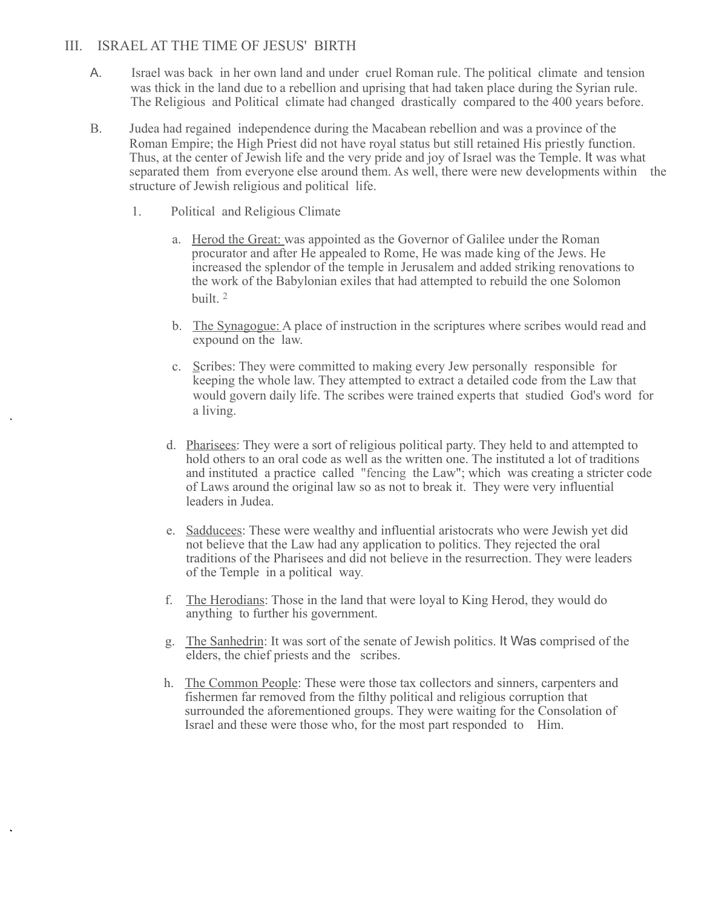#### III. ISRAEL AT THE TIME OF JESUS' BIRTH

- A. Israel was back in her own land and under cruel Roman rule. The political climate and tension was thick in the land due to a rebellion and uprising that had taken place during the Syrian rule. The Religious and Political climate had changed drastically compared to the 400 years before.
- B. Judea had regained independence during the Macabean rebellion and was a province of the Roman Empire; the High Priest did not have royal status but still retained His priestly function. Thus, at the center of Jewish life and the very pride and joy of Israel was the Temple. It was what separated them from everyone else around them. As well, there were new developments within the structure of Jewish religious and political life.
	- 1. Political and Religious Climate
		- a. Herod the Great: was appointed as the Governor of Galilee under the Roman procurator and after He appealed to Rome, He was made king of the Jews. He increased the splendor of the temple in Jerusalem and added striking renovations to the work of the Babylonian exiles that had attempted to rebuild the one Solomon built. 2
		- b. The Synagogue: A place of instruction in the scriptures where scribes would read and expound on the law.
		- c. Scribes: They were committed to making every Jew personally responsible for keeping the whole law. They attempted to extract a detailed code from the Law that would govern daily life. The scribes were trained experts that studied God's word for a living.
		- d. Pharisees: They were a sort of religious political party. They held to and attempted to hold others to an oral code as well as the written one. The instituted a lot of traditions and instituted a practice called "fencing the Law"; which was creating a stricter code of Laws around the original law so as not to break it. They were very influential leaders in Judea.
		- e. Sadducees: These were wealthy and influential aristocrats who were Jewish yet did not believe that the Law had any application to politics. They rejected the oral traditions of the Pharisees and did not believe in the resurrection. They were leaders of the Temple in a political way.
		- f. The Herodians: Those in the land that were loyal to King Herod, they would do anything to further his government.
		- g. The Sanhedrin: It was sort of the senate of Jewish politics. It Was comprised of the elders, the chief priests and the scribes.
		- h. The Common People: These were those tax collectors and sinners, carpenters and fishermen far removed from the filthy political and religious corruption that surrounded the aforementioned groups. They were waiting for the Consolation of Israel and these were those who, for the most part responded to Him.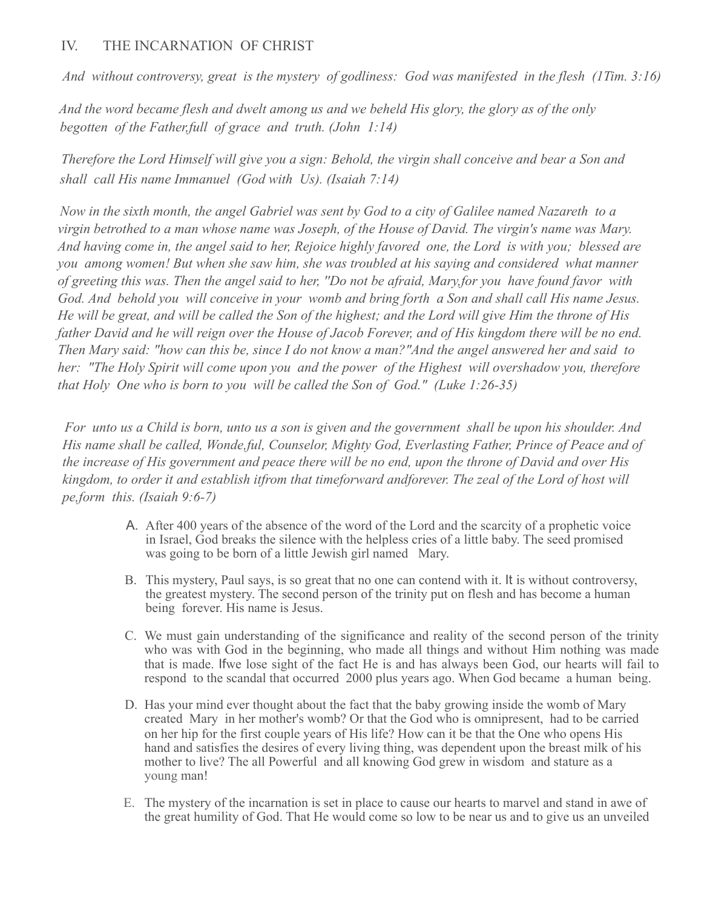# IV. THE INCARNATION OF CHRIST

*And without controversy, great is the mystery of godliness: God was manifested in the flesh (1Tim. 3:16)*

*And the word became flesh and dwelt among us and we beheld His glory, the glory as of the only begotten of the Father,full of grace and truth. (John 1:14)*

*Therefore the Lord Himself will give you a sign: Behold, the virgin shall conceive and bear a Son and shall call His name Immanuel (God with Us). (Isaiah 7:14)*

*Now in the sixth month, the angel Gabriel was sent by God to a city of Galilee named Nazareth to a virgin betrothed to a man whose name was Joseph, of the House of David. The virgin's name was Mary. And having come in, the angel said to her, Rejoice highly favored one, the Lord is with you; blessed are you among women! But when she saw him, she was troubled at his saying and considered what manner of greeting this was. Then the angel said to her, ''Do not be afraid, Mary,for you have found favor with God. And behold you will conceive in your womb and bring forth a Son and shall call His name Jesus. He will be great, and will be called the Son of the highest; and the Lord will give Him the throne of His father David and he will reign over the House of Jacob Forever, and of His kingdom there will be no end. Then Mary said: "how can this be, since I do not know a man?"And the angel answered her and said to her: "The Holy Spirit will come upon you and the power of the Highest will overshadow you, therefore that Holy One who is born to you will be called the Son of God." (Luke 1:26-35)*

*For unto us a Child is born, unto us a son is given and the government shall be upon his shoulder. And His name shall be called, Wonde,ful, Counselor, Mighty God, Everlasting Father, Prince of Peace and of the increase of His government and peace there will be no end, upon the throne of David and over His kingdom, to order it and establish itfrom that timeforward andforever. The zeal of the Lord of host will pe,form this. (Isaiah 9:6-7)*

- A. After 400 years of the absence of the word of the Lord and the scarcity of a prophetic voice in Israel, God breaks the silence with the helpless cries of a little baby. The seed promised was going to be born of a little Jewish girl named Mary.
- B. This mystery, Paul says, is so great that no one can contend with it. It is without controversy, the greatest mystery. The second person of the trinity put on flesh and has become a human being forever. His name is Jesus.
- C. We must gain understanding of the significance and reality of the second person of the trinity who was with God in the beginning, who made all things and without Him nothing was made that is made. Ifwe lose sight of the fact He is and has always been God, our hearts will fail to respond to the scandal that occurred 2000 plus years ago. When God became a human being.
- D. Has your mind ever thought about the fact that the baby growing inside the womb of Mary created Mary in her mother's womb? Or that the God who is omnipresent, had to be carried on her hip for the first couple years of His life? How can it be that the One who opens His hand and satisfies the desires of every living thing, was dependent upon the breast milk of his mother to live? The all Powerful and all knowing God grew in wisdom and stature as a young man!
- E. The mystery of the incarnation is set in place to cause our hearts to marvel and stand in awe of the great humility of God. That He would come so low to be near us and to give us an unveiled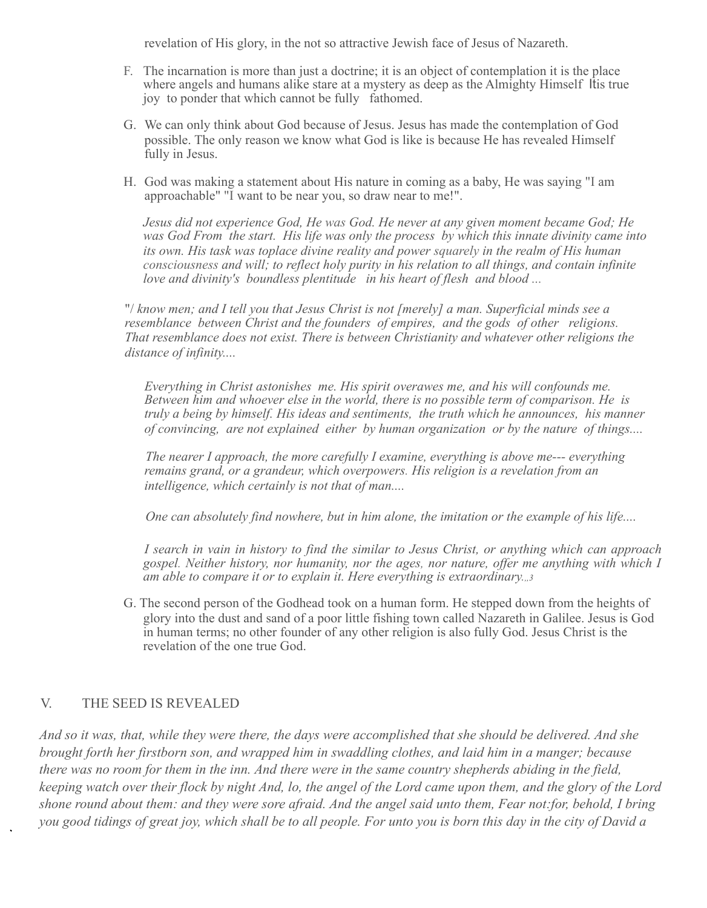revelation of His glory, in the not so attractive Jewish face of Jesus of Nazareth.

- F. The incarnation is more than just a doctrine; it is an object of contemplation it is the place where angels and humans alike stare at a mystery as deep as the Almighty Himself Itis true joy to ponder that which cannot be fully fathomed.
- G. We can only think about God because of Jesus. Jesus has made the contemplation of God possible. The only reason we know what God is like is because He has revealed Himself fully in Jesus.
- H. God was making a statement about His nature in coming as a baby, He was saying "I am approachable" "I want to be near you, so draw near to me!".

*Jesus did not experience God, He was God. He never at any given moment became God; He was God From the start. His life was only the process by which this innate divinity came into its own. His task was toplace divine reality and power squarely in the realm of His human consciousness and will; to reflect holy purity in his relation to all things, and contain infinite love and divinity's boundless plentitude in his heart of flesh and blood ...*

"/ *know men; and I tell you that Jesus Christ is not [merely] a man. Superficial minds see a resemblance between Christ and the founders of empires, and the gods of other religions. That resemblance does not exist. There is between Christianity and whatever other religions the distance of infinity....*

*Everything in Christ astonishes me. His spirit overawes me, and his will confounds me. Between him and whoever else in the world, there is no possible term of comparison. He is truly a being by himself. His ideas and sentiments, the truth which he announces, his manner of convincing, are not explained either by human organization or by the nature of things....*

*The nearer I approach, the more carefully I examine, everything is above me--- everything remains grand, or a grandeur, which overpowers. His religion is a revelation from an intelligence, which certainly is not that of man....*

*One can absolutely find nowhere, but in him alone, the imitation or the example of his life....*

*I search in vain in history to find the similar to Jesus Christ, or anything which can approach gospel. Neither history, nor humanity, nor the ages, nor nature, offer me anything with which I am able to compare it or to explain it. Here everything is extraordinary.,,3*

G. The second person of the Godhead took on a human form. He stepped down from the heights of glory into the dust and sand of a poor little fishing town called Nazareth in Galilee. Jesus is God in human terms; no other founder of any other religion is also fully God. Jesus Christ is the revelation of the one true God.

#### V. THE SEED IS REVEALED

*And so it was, that, while they were there, the days were accomplished that she should be delivered. And she brought forth her firstborn son, and wrapped him in swaddling clothes, and laid him in a manger; because there was no room for them in the inn. And there were in the same country shepherds abiding in the field, keeping watch over their flock by night And, lo, the angel of the Lord came upon them, and the glory of the Lord shone round about them: and they were sore afraid. And the angel said unto them, Fear not:for, behold, I bring you good tidings of great joy, which shall be to all people. For unto you is born this day in the city of David a*